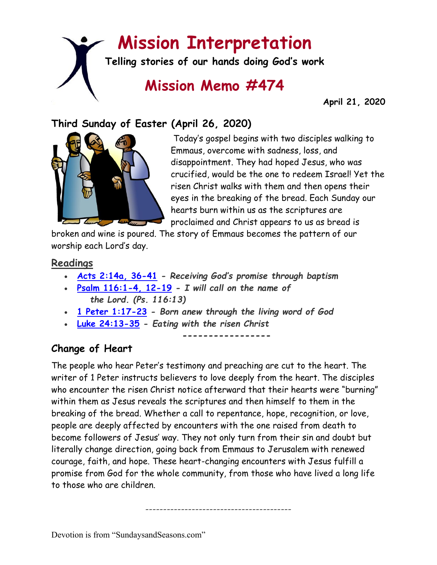# **Mission Interpretation**

**Telling stories of our hands doing God's work**

## **Mission Memo #474**

 **April 21, 2020**

## **Third Sunday of Easter (April 26, 2020)**



Today's gospel begins with two disciples walking to Emmaus, overcome with sadness, loss, and disappointment. They had hoped Jesus, who was crucified, would be the one to redeem Israel! Yet the risen Christ walks with them and then opens their eyes in the breaking of the bread. Each Sunday our hearts burn within us as the scriptures are proclaimed and Christ appears to us as bread is

broken and wine is poured. The story of Emmaus becomes the pattern of our worship each Lord's day.

#### **Readings**

- **[Acts 2:14a, 36-41](https://members.sundaysandseasons.com/) -** *Receiving God's promise through baptism*
- **[Psalm 116:1-4, 12-19](https://members.sundaysandseasons.com/) -** *I will call on the name of the Lord. (Ps. 116:13)*
- **[1 Peter 1:17-23](https://members.sundaysandseasons.com/) -** *Born anew through the living word of God*
- **[Luke 24:13-35](https://members.sundaysandseasons.com/) -** *Eating with the risen Christ*

**-----------------**

## **Change of Heart**

The people who hear Peter's testimony and preaching are cut to the heart. The writer of 1 Peter instructs believers to love deeply from the heart. The disciples who encounter the risen Christ notice afterward that their hearts were "burning" within them as Jesus reveals the scriptures and then himself to them in the breaking of the bread. Whether a call to repentance, hope, recognition, or love, people are deeply affected by encounters with the one raised from death to become followers of Jesus' way. They not only turn from their sin and doubt but literally change direction, going back from Emmaus to Jerusalem with renewed courage, faith, and hope. These heart-changing encounters with Jesus fulfill a promise from God for the whole community, from those who have lived a long life to those who are children.

-----------------------------------------

Devotion is from "SundaysandSeasons.com"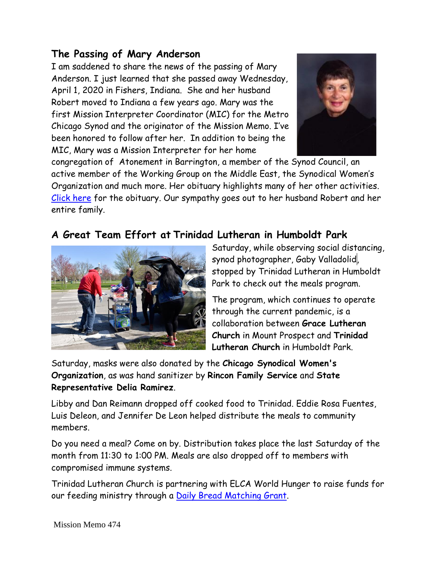### **The Passing of Mary Anderson**

I am saddened to share the news of the passing of Mary Anderson. I just learned that she passed away Wednesday, April 1, 2020 in Fishers, Indiana. She and her husband Robert moved to Indiana a few years ago. Mary was the first Mission Interpreter Coordinator (MIC) for the Metro Chicago Synod and the originator of the Mission Memo. I've been honored to follow after her. In addition to being the MIC, Mary was a Mission Interpreter for her home



congregation of Atonement in Barrington, a member of the Synod Council, an active member of the Working Group on the Middle East, the Synodical Women's Organization and much more. Her obituary highlights many of her other activities. [Click here](https://www.indianafuneralcare.com/obituaries/Mary-Elizabeth-Anderson?obId=12631316) for the obituary. Our sympathy goes out to her husband Robert and her entire family.

## **A Great Team Effort at Trinidad Lutheran in Humboldt Park**



Saturday, while observing social distancing, synod photographer, Gaby Valladolid, stopped by Trinidad Lutheran in Humboldt Park to check out the meals program.

The program, which continues to operate through the current pandemic, is a collaboration between **Grace Lutheran Church** in Mount Prospect and **Trinidad Lutheran Church** in Humboldt Park.

Saturday, masks were also donated by the **Chicago Synodical Women's Organization**, as was hand sanitizer by **Rincon Family Service** and **State Representative Delia Ramirez**.

Libby and Dan Reimann dropped off cooked food to Trinidad. Eddie Rosa Fuentes, Luis Deleon, and Jennifer De Leon helped distribute the meals to community members.

Do you need a meal? Come on by. Distribution takes place the last Saturday of the month from 11:30 to 1:00 PM. Meals are also dropped off to members with compromised immune systems.

Trinidad Lutheran Church is partnering with ELCA World Hunger to raise funds for our feeding ministry through a [Daily Bread Matching Grant.](https://support.elca.org/site/TR;jsessionid=00000000.app20096b?px=1055331&pg=personal&fr_id=1360&et=w4Rh1FyqrSQEtPtkNIOufQ&s_tafId=2815&fbclid=IwAR27xa2mbyerurq_bF2u0n-OvkaLuziA9TKw-UaFx0bTHDQnH9ySQtgKiqo&NONCE_TOKEN=8E5F83C576E6BC4D2E0239D60BBBF867)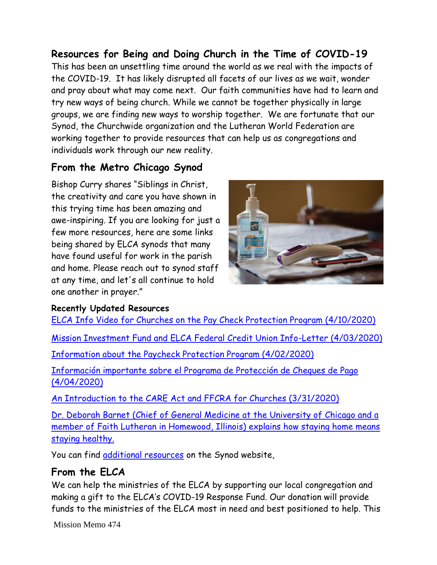**Resources for Being and Doing Church in the Time of COVID-19** This has been an unsettling time around the world as we real with the impacts of the COVID-19. It has likely disrupted all facets of our lives as we wait, wonder and pray about what may come next. Our faith communities have had to learn and try new ways of being church. While we cannot be together physically in large groups, we are finding new ways to worship together. We are fortunate that our Synod, the Churchwide organization and the Lutheran World Federation are working together to provide resources that can help us as congregations and individuals work through our new reality.

## **From the Metro Chicago Synod**

Bishop Curry shares "Siblings in Christ, the creativity and care you have shown in this trying time has been amazing and awe-inspiring. If you are looking for just a few more resources, here are some links being shared by ELCA synods that many have found useful for work in the parish and home. Please reach out to synod staff at any time, and let's all continue to hold one another in prayer."



#### **Recently Updated Resources**

[ELCA Info Video for Churches on the Pay Check Protection Program \(4/10/2020\)](https://vimeo.com/405954210) [Mission Investment Fund and ELCA Federal Credit Union Info-Letter \(4/03/2020\)](http://hosted.verticalresponse.com/632812/bc0597b65b/284953729/53f8ef96f9/?fbclid=IwAR2ZFT0sfUxxQHcYhD70mJz0d_3AZkHOZopjFcH6qs7p2lBgYPXhjPoie5s) [Information about the Paycheck Protection Program \(4/02/2020\)](http://hosted.verticalresponse.com/632812/6c8fffafee/284953729/53f8ef96f9/?fbclid=IwAR3MxzK9A0XDivDTqWFZ7CoNIWLp4gJ6QAG54JqxSxCfmcmJw5nPM3s-K9o) [Información importante sobre el Programa de Protección de Cheques de Pago](https://drive.google.com/file/d/1r9BScTYvaI5ENCV5Juoy32n5wJlPKJbe/view?usp=sharing)  [\(4/04/2020\)](https://drive.google.com/file/d/1r9BScTYvaI5ENCV5Juoy32n5wJlPKJbe/view?usp=sharing) An Introduction to the [CARE Act and FFCRA for Churches \(3/31/2020\)](https://drive.google.com/file/d/1tgaP7aGAtjBJx_TrB5EYGw_IgNHVFghu/view?usp=sharing) [Dr. Deborah Barnet \(Chief of General Medicine at the University of Chicago and a](https://www.youtube.com/watch?v=epyVksMODTA&feature=youtu.be&fbclid=IwAR11oYbLxuP3ERJPfeHTa3TzBVyigXs2ZFMq40gnez1e43tfqzztgHSDFdA)  [member of Faith Lutheran in Homewood, Illinois\) explains how staying home means](https://www.youtube.com/watch?v=epyVksMODTA&feature=youtu.be&fbclid=IwAR11oYbLxuP3ERJPfeHTa3TzBVyigXs2ZFMq40gnez1e43tfqzztgHSDFdA)  [staying healthy.](https://www.youtube.com/watch?v=epyVksMODTA&feature=youtu.be&fbclid=IwAR11oYbLxuP3ERJPfeHTa3TzBVyigXs2ZFMq40gnez1e43tfqzztgHSDFdA)

You can find [additional resources](http://www.mcselca.org/congregation/covid-19_resourcesresources_for_being_and_doing_php/) on the Synod website,

## **From the ELCA**

We can help the ministries of the ELCA by supporting our local congregation and making a gift to the ELCA's COVID-19 Response Fund. Our donation will provide funds to the ministries of the ELCA most in need and best positioned to help. This

Mission Memo 474